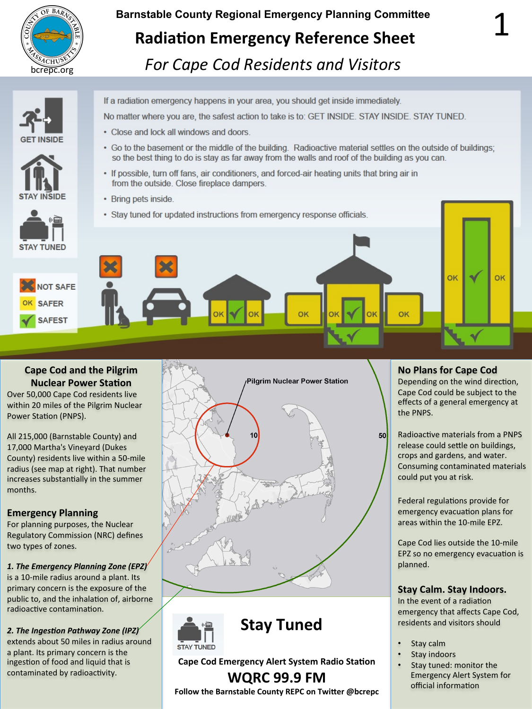

# **Barnstable County Regional Emergency Planning Committee Radiation Emergency Reference Sheet** *<u>Bachrosop</u> For Cape Cod Residents and Visitors*





If a radiation emergency happens in your area, you should get inside immediately.

No matter where you are, the safest action to take is to: GET INSIDE. STAY INSIDE. STAY TUNED.

- Close and lock all windows and doors.
- 3. Turnoto and nother and thing of the distribution of the seed by the seeing of the seeing of the seeing of the seeing of the seeing of the seeing of the seeing of the seeing of the seeing of the seeing of the seeing of t • Go to the basement or the middle of the building. Radioactive material settles on the outside of buildings; so the best thing to do is stay as far away from the walls and roof of the building as you can.
- If possible, turn off fans, air conditioners, and forced-air heating units that bring air in from the outside. Close fireplace dampers.
- Bring pets inside.
- Stay tuned for updated instructions from emergency response officials.



## **Cape Cod and the Pilgrim Nuclear Power Station**

Over 50,000 Cape Cod residents live within 20 miles of the Pilgrim Nuclear Power Station (PNPS).

All 215,000 (Barnstable County) and 17,000 Martha's Vineyard (Dukes County) residents live within a 50-mile radius (see map at right). That number increases substantially in the summer months. 

## **Emergency Planning**

For planning purposes, the Nuclear **Regulatory Commission (NRC) defines** two types of zones.

1. The Emergency Planning Zone (EPZ)<sup>'</sup>

is a 10-mile radius around a plant. Its primary concern is the exposure of the public to, and the inhalation of, airborne radioactive contamination.

**2.** The Ingestion Pathway Zone (IPZ)

extends about 50 miles in radius around a plant. Its primary concern is the ingestion of food and liquid that is contaminated by radioactivity.







## **Cape Cod Emergency Alert System Radio Station**

## **WQRC 99.9 FM**

**Follow the Barnstable County REPC on Twitter @bcrepc** 

## **No Plans for Cape Cod**

 $50$ 

Depending on the wind direction, Cape Cod could be subject to the effects of a general emergency at the PNPS.

Radioactive materials from a PNPS release could settle on buildings, crops and gardens, and water. Consuming contaminated materials could put you at risk.

Federal regulations provide for emergency evacuation plans for areas within the 10-mile EPZ.

Cape Cod lies outside the 10-mile EPZ so no emergency evacuation is planned. 

## **Stay Calm. Stay Indoors.**

In the event of a radiation emergency that affects Cape Cod, residents and visitors should

- Stay calm
- Stay indoors
- Stay tuned: monitor the Emergency Alert System for official information